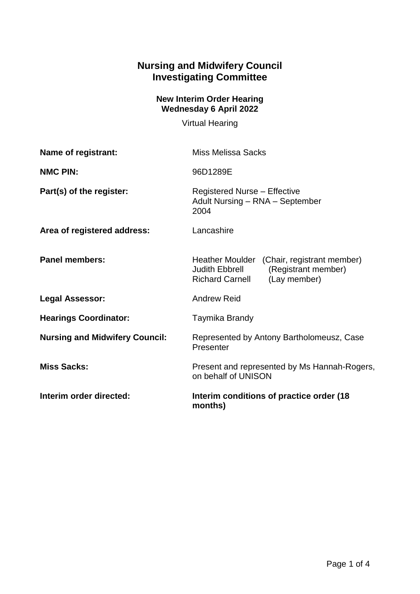## **Nursing and Midwifery Council Investigating Committee**

## **New Interim Order Hearing Wednesday 6 April 2022**

Virtual Hearing

| Name of registrant:                   | <b>Miss Melissa Sacks</b>                                                                                                     |
|---------------------------------------|-------------------------------------------------------------------------------------------------------------------------------|
| <b>NMC PIN:</b>                       | 96D1289E                                                                                                                      |
| Part(s) of the register:              | <b>Registered Nurse - Effective</b><br>Adult Nursing - RNA - September<br>2004                                                |
| Area of registered address:           | Lancashire                                                                                                                    |
| <b>Panel members:</b>                 | Heather Moulder (Chair, registrant member)<br>Judith Ebbrell<br>(Registrant member)<br><b>Richard Carnell</b><br>(Lay member) |
| <b>Legal Assessor:</b>                | <b>Andrew Reid</b>                                                                                                            |
| <b>Hearings Coordinator:</b>          | Taymika Brandy                                                                                                                |
| <b>Nursing and Midwifery Council:</b> | Represented by Antony Bartholomeusz, Case<br>Presenter                                                                        |
| <b>Miss Sacks:</b>                    | Present and represented by Ms Hannah-Rogers,<br>on behalf of UNISON                                                           |
| Interim order directed:               | Interim conditions of practice order (18)<br>months)                                                                          |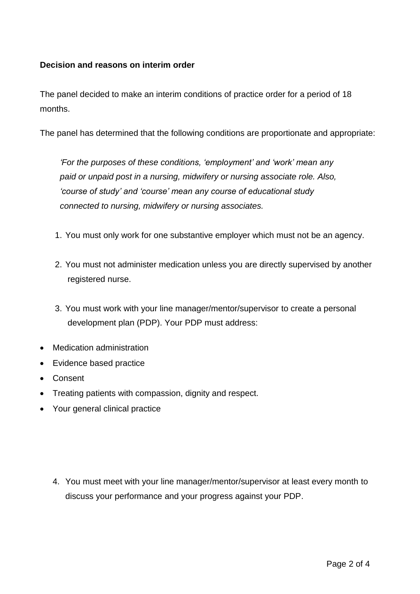## **Decision and reasons on interim order**

The panel decided to make an interim conditions of practice order for a period of 18 months.

The panel has determined that the following conditions are proportionate and appropriate:

*'For the purposes of these conditions, 'employment' and 'work' mean any paid or unpaid post in a nursing, midwifery or nursing associate role. Also, 'course of study' and 'course' mean any course of educational study connected to nursing, midwifery or nursing associates.*

- 1. You must only work for one substantive employer which must not be an agency.
- 2. You must not administer medication unless you are directly supervised by another registered nurse.
- 3. You must work with your line manager/mentor/supervisor to create a personal development plan (PDP). Your PDP must address:
- Medication administration
- Evidence based practice
- Consent
- Treating patients with compassion, dignity and respect.
- Your general clinical practice

4. You must meet with your line manager/mentor/supervisor at least every month to discuss your performance and your progress against your PDP.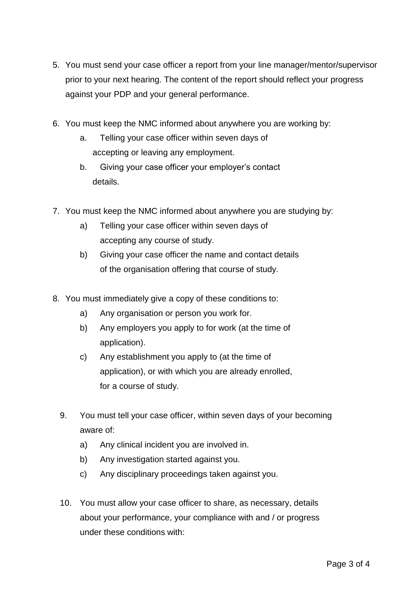- 5. You must send your case officer a report from your line manager/mentor/supervisor prior to your next hearing. The content of the report should reflect your progress against your PDP and your general performance.
- 6. You must keep the NMC informed about anywhere you are working by:
	- a. Telling your case officer within seven days of accepting or leaving any employment.
	- b. Giving your case officer your employer's contact details.
- 7. You must keep the NMC informed about anywhere you are studying by:
	- a) Telling your case officer within seven days of accepting any course of study.
	- b) Giving your case officer the name and contact details of the organisation offering that course of study.
- 8. You must immediately give a copy of these conditions to:
	- a) Any organisation or person you work for.
	- b) Any employers you apply to for work (at the time of application).
	- c) Any establishment you apply to (at the time of application), or with which you are already enrolled, for a course of study.
	- 9. You must tell your case officer, within seven days of your becoming aware of:
		- a) Any clinical incident you are involved in.
		- b) Any investigation started against you.
		- c) Any disciplinary proceedings taken against you.
	- 10. You must allow your case officer to share, as necessary, details about your performance, your compliance with and / or progress under these conditions with: